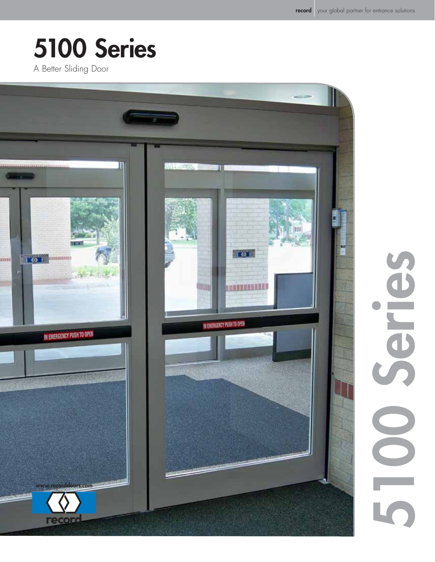5100 Series

▔

 $\overline{\phantom{a}}$ 

ceries

# 5100 Series

A Better Sliding Door

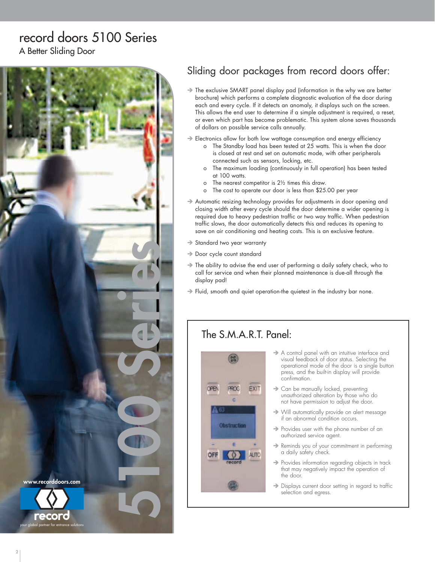# record doors 5100 Series

A Better Sliding Door



## Sliding door packages from record doors offer:

- If The exclusive SMART panel display pad (information in the why we are better brochure) which performs a complete diagnostic evaluation of the door during each and every cycle. If it detects an anomaly, it displays such on the screen. This allows the end user to determine if a simple adjustment is required, a reset, or even which part has become problematic. This system alone saves thousands of dollars on possible service calls annually.
- $\rightarrow$  Electronics allow for both low wattage consumption and energy efficiency
	- o The Standby load has been tested at 25 watts. This is when the door is closed at rest and set on automatic mode, with other peripherals connected such as sensors, locking, etc.
	- o The maximum loading (continuously in full operation) has been tested at 100 watts.
	- o The nearest competitor is 2½ times this draw.
	- o The cost to operate our door is less than \$25.00 per year
- Automatic resizing technology provides for adjustments in door opening and closing width after every cycle should the door determine a wider opening is required due to heavy pedestrian traffic or two way traffic. When pedestrian traffic slows, the door automatically detects this and reduces its opening to save on air conditioning and heating costs. This is an exclusive feature.
- $\rightarrow$  Standard two year warranty
- $\rightarrow$  Door cycle count standard
- $\rightarrow$  The ability to advise the end user of performing a daily safety check, who to call for service and when their planned maintenance is due-all through the display pad!
- $\rightarrow$  Fluid, smooth and quiet operation-the quietest in the industry bar none.

#### The S.M.A.R.T. Panel:



- $\rightarrow$  A control panel with an intuitive interface and visual feedback of door status. Selecting the operational mode of the door is a single button press, and the built-in display will provide confirmation.
- $\rightarrow$  Can be manually locked, preventing unauthorized alteration by those who do not have permission to adjust the door.
- $\rightarrow$  Will automatically provide on alert message if an abnormal condition occurs.
- $\rightarrow$  Provides user with the phone number of an authorized service agent.
- $\rightarrow$  Reminds you of your commitment in performing a daily safety check.
- $\rightarrow$  Provides information regarding objects in track that may negatively impact the operation of the door.
- $\rightarrow$  Displays current door setting in regard to traffic selection and egress.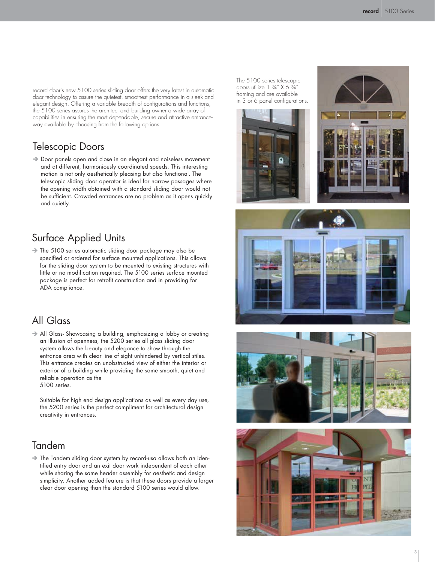record door's new 5100 series sliding door offers the very latest in automatic door technology to assure the quietest, smoothest performance in a sleek and elegant design. Offering a variable breadth of configurations and functions, the 5100 series assures the architect and building owner a wide array of capabilities in ensuring the most dependable, secure and attractive entranceway available by choosing from the following options:

#### Telescopic Doors

 $\rightarrow$  Door panels open and close in an elegant and noiseless movement and at different, harmoniously coordinated speeds. This interesting motion is not only aesthetically pleasing but also functional. The telescopic sliding door operator is ideal for narrow passages where the opening width obtained with a standard sliding door would not be sufficient. Crowded entrances are no problem as it opens quickly and quietly.

#### Surface Applied Units

 $\rightarrow$  The 5100 series automatic sliding door package may also be specified or ordered for surface mounted applications. This allows for the sliding door system to be mounted to existing structures with little or no modification required. The 5100 series surface mounted package is perfect for retrofit construction and in providing for ADA compliance.

#### All Glass

All Glass- Showcasing a building, emphasizing a lobby or creating an illusion of openness, the 5200 series all glass sliding door system allows the beauty and elegance to show through the entrance area with clear line of sight unhindered by vertical stiles. This entrance creates an unobstructed view of either the interior or exterior of a building while providing the same smooth, quiet and reliable operation as the 5100 series.

Suitable for high end design applications as well as every day use, the 5200 series is the perfect compliment for architectural design creativity in entrances.

#### Tandem

 $\rightarrow$  The Tandem sliding door system by record-usa allows both an identified entry door and an exit door work independent of each other while sharing the same header assembly for aesthetic and design simplicity. Another added feature is that these doors provide a larger clear door opening than the standard 5100 series would allow.

The 5100 series telescopic doors utilize 1 ¾" X 6 ¾" framing and are available in 3 or 6 panel configurations.